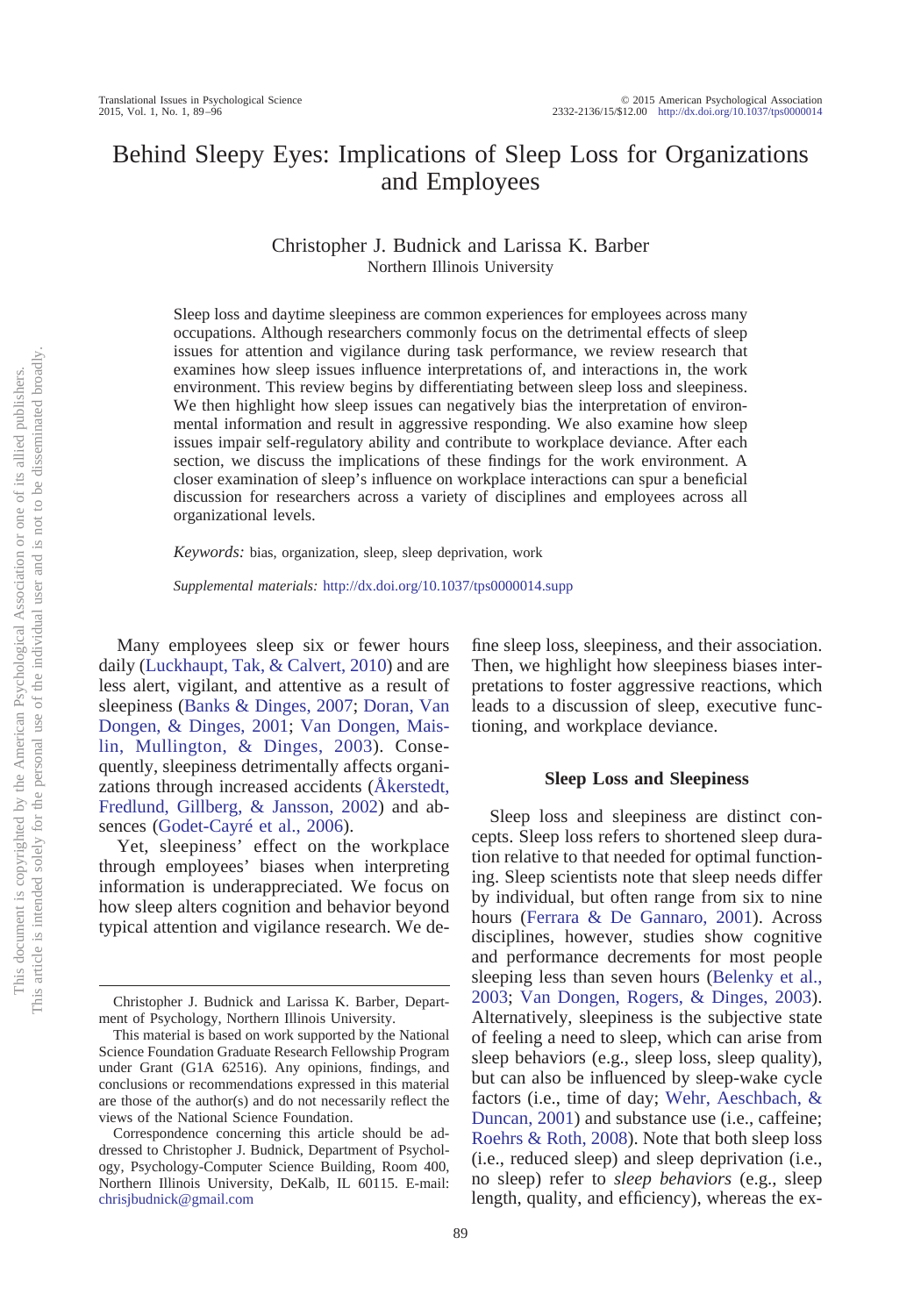# Behind Sleepy Eyes: Implications of Sleep Loss for Organizations and Employees

Christopher J. Budnick and Larissa K. Barber Northern Illinois University

Sleep loss and daytime sleepiness are common experiences for employees across many occupations. Although researchers commonly focus on the detrimental effects of sleep issues for attention and vigilance during task performance, we review research that examines how sleep issues influence interpretations of, and interactions in, the work environment. This review begins by differentiating between sleep loss and sleepiness. We then highlight how sleep issues can negatively bias the interpretation of environmental information and result in aggressive responding. We also examine how sleep issues impair self-regulatory ability and contribute to workplace deviance. After each section, we discuss the implications of these findings for the work environment. A closer examination of sleep's influence on workplace interactions can spur a beneficial discussion for researchers across a variety of disciplines and employees across all organizational levels.

*Keywords:* bias, organization, sleep, sleep deprivation, work

*Supplemental materials:* http://dx.doi.org[/10.1037/tps0000014.supp](http://dx.doi.org/10.1037/tps0000014.supp)

Many employees sleep six or fewer hours daily [\(Luckhaupt, Tak, & Calvert, 2010\)](#page-6-0) and are less alert, vigilant, and attentive as a result of sleepiness [\(Banks & Dinges, 2007;](#page-5-0) [Doran, Van](#page-5-1) [Dongen, & Dinges, 2001;](#page-5-1) [Van Dongen, Mais](#page-7-0)[lin, Mullington, & Dinges, 2003\)](#page-7-0). Consequently, sleepiness detrimentally affects organizations through increased accidents [\(Åkerstedt,](#page-5-2) [Fredlund, Gillberg, & Jansson, 2002\)](#page-5-2) and absences [\(Godet-Cayré et al., 2006\)](#page-6-1).

Yet, sleepiness' effect on the workplace through employees' biases when interpreting information is underappreciated. We focus on how sleep alters cognition and behavior beyond typical attention and vigilance research. We define sleep loss, sleepiness, and their association. Then, we highlight how sleepiness biases interpretations to foster aggressive reactions, which leads to a discussion of sleep, executive functioning, and workplace deviance.

#### **Sleep Loss and Sleepiness**

Sleep loss and sleepiness are distinct concepts. Sleep loss refers to shortened sleep duration relative to that needed for optimal functioning. Sleep scientists note that sleep needs differ by individual, but often range from six to nine hours [\(Ferrara & De Gannaro, 2001\)](#page-5-3). Across disciplines, however, studies show cognitive and performance decrements for most people sleeping less than seven hours [\(Belenky et al.,](#page-5-4) [2003;](#page-5-4) [Van Dongen, Rogers, & Dinges, 2003\)](#page-7-1). Alternatively, sleepiness is the subjective state of feeling a need to sleep, which can arise from sleep behaviors (e.g., sleep loss, sleep quality), but can also be influenced by sleep-wake cycle factors (i.e., time of day; [Wehr, Aeschbach, &](#page-7-2) [Duncan, 2001\)](#page-7-2) and substance use (i.e., caffeine; [Roehrs & Roth, 2008\)](#page-7-3). Note that both sleep loss (i.e., reduced sleep) and sleep deprivation (i.e., no sleep) refer to *sleep behaviors* (e.g., sleep length, quality, and efficiency), whereas the ex-

Christopher J. Budnick and Larissa K. Barber, Department of Psychology, Northern Illinois University.

This material is based on work supported by the National Science Foundation Graduate Research Fellowship Program under Grant (G1A 62516). Any opinions, findings, and conclusions or recommendations expressed in this material are those of the author(s) and do not necessarily reflect the views of the National Science Foundation.

Correspondence concerning this article should be addressed to Christopher J. Budnick, Department of Psychology, Psychology-Computer Science Building, Room 400, Northern Illinois University, DeKalb, IL 60115. E-mail: [chrisjbudnick@gmail.com](mailto:chrisjbudnick@gmail.com)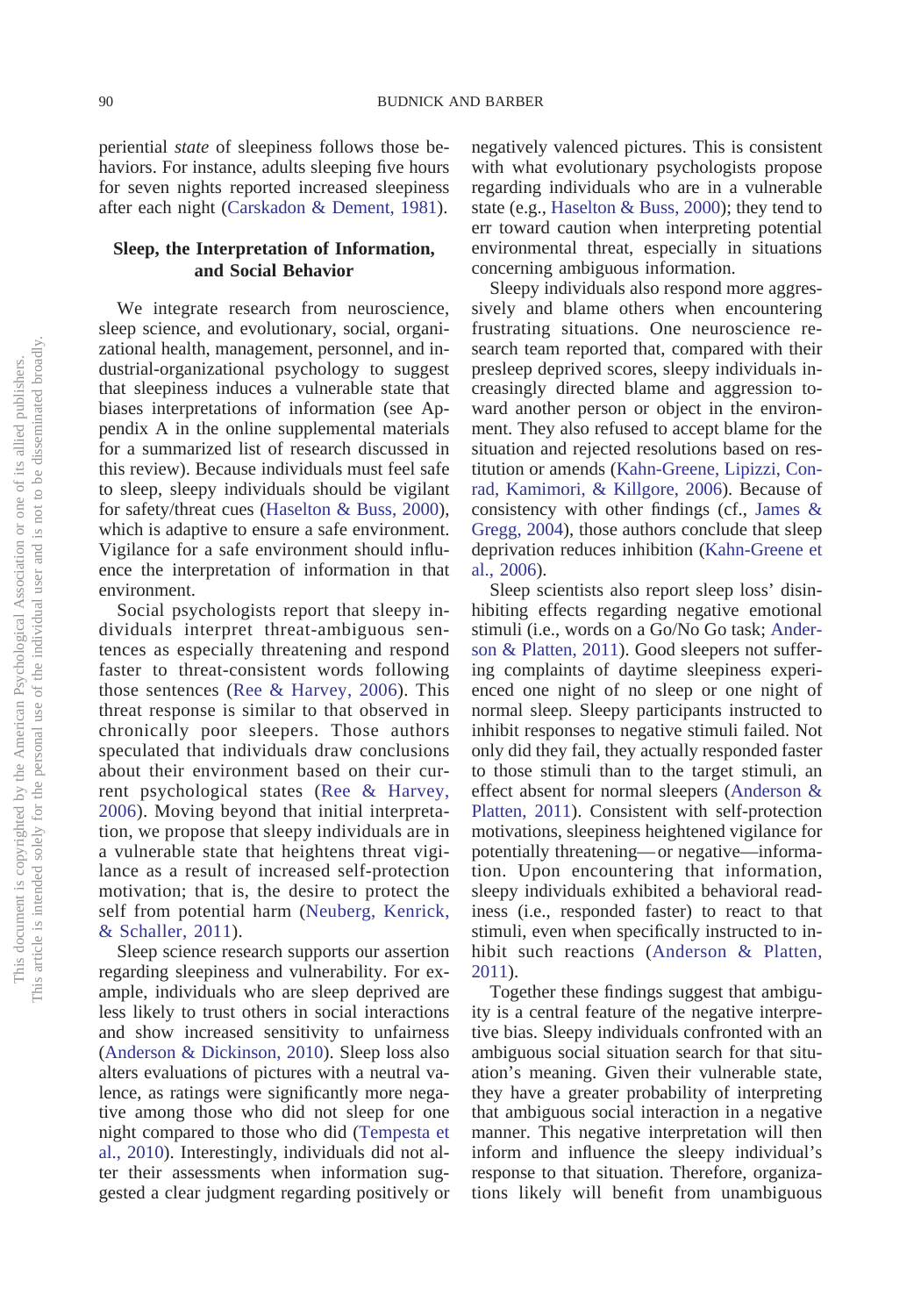periential *state* of sleepiness follows those behaviors. For instance, adults sleeping five hours for seven nights reported increased sleepiness after each night [\(Carskadon & Dement, 1981\)](#page-5-5).

## **Sleep, the Interpretation of Information, and Social Behavior**

We integrate research from neuroscience, sleep science, and evolutionary, social, organizational health, management, personnel, and industrial-organizational psychology to suggest that sleepiness induces a vulnerable state that biases interpretations of information (see Appendix A in the online supplemental materials for a summarized list of research discussed in this review). Because individuals must feel safe to sleep, sleepy individuals should be vigilant for safety/threat cues [\(Haselton & Buss, 2000\)](#page-6-2), which is adaptive to ensure a safe environment. Vigilance for a safe environment should influence the interpretation of information in that environment.

Social psychologists report that sleepy individuals interpret threat-ambiguous sentences as especially threatening and respond faster to threat-consistent words following those sentences [\(Ree & Harvey, 2006\)](#page-6-3). This threat response is similar to that observed in chronically poor sleepers. Those authors speculated that individuals draw conclusions about their environment based on their current psychological states [\(Ree & Harvey,](#page-6-3) [2006\)](#page-6-3). Moving beyond that initial interpretation, we propose that sleepy individuals are in a vulnerable state that heightens threat vigilance as a result of increased self-protection motivation; that is, the desire to protect the self from potential harm [\(Neuberg, Kenrick,](#page-6-4) [& Schaller, 2011\)](#page-6-4).

Sleep science research supports our assertion regarding sleepiness and vulnerability. For example, individuals who are sleep deprived are less likely to trust others in social interactions and show increased sensitivity to unfairness [\(Anderson & Dickinson, 2010\)](#page-5-6). Sleep loss also alters evaluations of pictures with a neutral valence, as ratings were significantly more negative among those who did not sleep for one night compared to those who did [\(Tempesta et](#page-7-4) [al., 2010\)](#page-7-4). Interestingly, individuals did not alter their assessments when information suggested a clear judgment regarding positively or

negatively valenced pictures. This is consistent with what evolutionary psychologists propose regarding individuals who are in a vulnerable state (e.g., [Haselton & Buss, 2000\)](#page-6-2); they tend to err toward caution when interpreting potential environmental threat, especially in situations concerning ambiguous information.

Sleepy individuals also respond more aggressively and blame others when encountering frustrating situations. One neuroscience research team reported that, compared with their presleep deprived scores, sleepy individuals increasingly directed blame and aggression toward another person or object in the environment. They also refused to accept blame for the situation and rejected resolutions based on restitution or amends [\(Kahn-Greene, Lipizzi, Con](#page-6-5)[rad, Kamimori, & Killgore, 2006\)](#page-6-5). Because of consistency with other findings (cf., [James &](#page-6-6) [Gregg, 2004\)](#page-6-6), those authors conclude that sleep deprivation reduces inhibition [\(Kahn-Greene et](#page-6-5) [al., 2006\)](#page-6-5).

Sleep scientists also report sleep loss' disinhibiting effects regarding negative emotional stimuli (i.e., words on a Go/No Go task; [Ander](#page-5-7)[son & Platten, 2011\)](#page-5-7). Good sleepers not suffering complaints of daytime sleepiness experienced one night of no sleep or one night of normal sleep. Sleepy participants instructed to inhibit responses to negative stimuli failed. Not only did they fail, they actually responded faster to those stimuli than to the target stimuli, an effect absent for normal sleepers [\(Anderson &](#page-5-7) [Platten, 2011\)](#page-5-7). Consistent with self-protection motivations, sleepiness heightened vigilance for potentially threatening— or negative—information. Upon encountering that information, sleepy individuals exhibited a behavioral readiness (i.e., responded faster) to react to that stimuli, even when specifically instructed to inhibit such reactions [\(Anderson & Platten,](#page-5-7) [2011\)](#page-5-7).

Together these findings suggest that ambiguity is a central feature of the negative interpretive bias. Sleepy individuals confronted with an ambiguous social situation search for that situation's meaning. Given their vulnerable state, they have a greater probability of interpreting that ambiguous social interaction in a negative manner. This negative interpretation will then inform and influence the sleepy individual's response to that situation. Therefore, organizations likely will benefit from unambiguous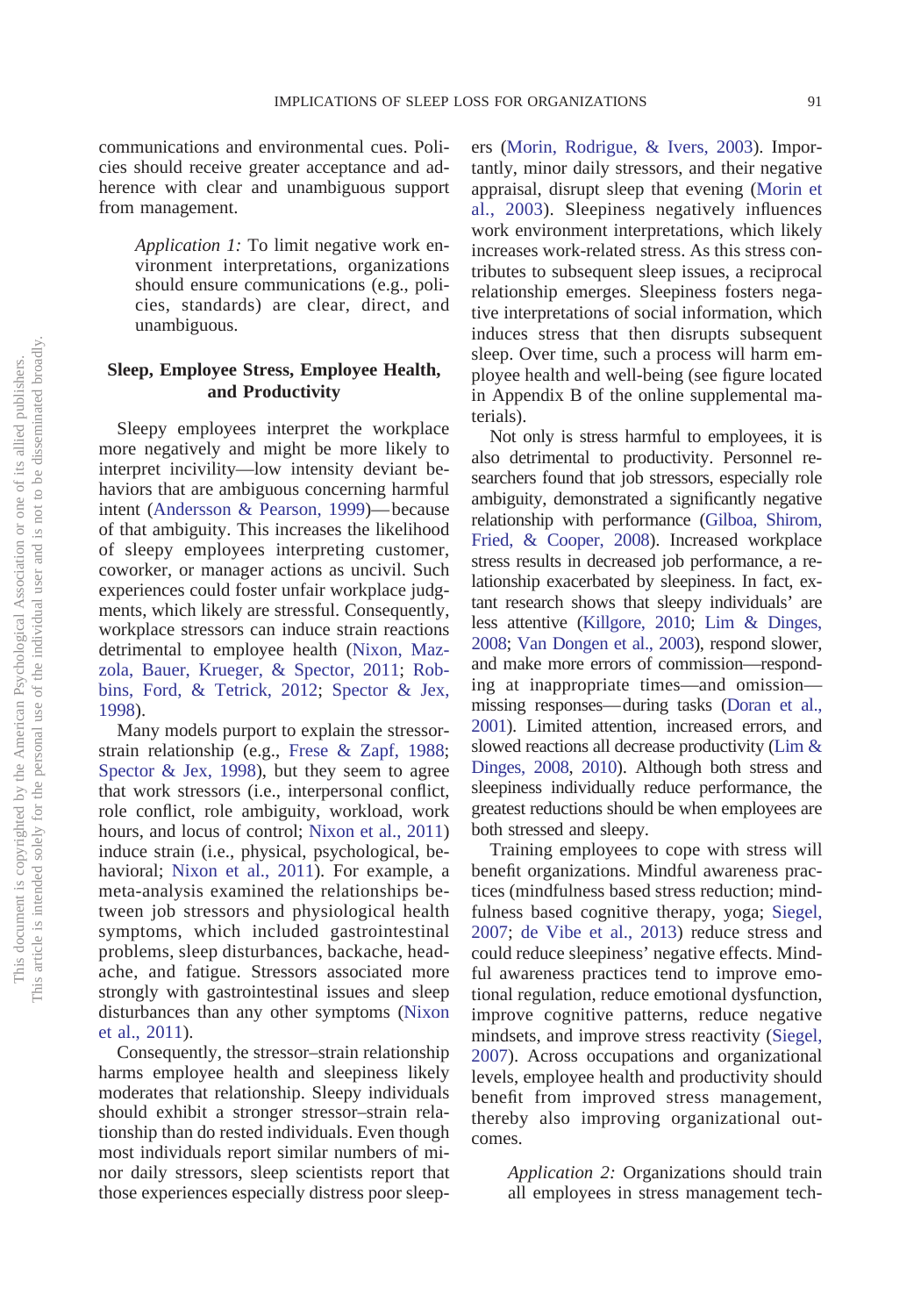communications and environmental cues. Policies should receive greater acceptance and adherence with clear and unambiguous support from management.

> *Application 1:* To limit negative work environment interpretations, organizations should ensure communications (e.g., policies, standards) are clear, direct, and unambiguous.

### **Sleep, Employee Stress, Employee Health, and Productivity**

Sleepy employees interpret the workplace more negatively and might be more likely to interpret incivility—low intensity deviant behaviors that are ambiguous concerning harmful intent [\(Andersson & Pearson, 1999\)](#page-5-8)— because of that ambiguity. This increases the likelihood of sleepy employees interpreting customer, coworker, or manager actions as uncivil. Such experiences could foster unfair workplace judgments, which likely are stressful. Consequently, workplace stressors can induce strain reactions detrimental to employee health [\(Nixon, Maz](#page-6-7)[zola, Bauer, Krueger, & Spector, 2011;](#page-6-7) [Rob](#page-7-5)[bins, Ford, & Tetrick, 2012;](#page-7-5) [Spector & Jex,](#page-7-6) [1998\)](#page-7-6).

Many models purport to explain the stressorstrain relationship (e.g., [Frese & Zapf, 1988;](#page-6-8) [Spector & Jex, 1998\)](#page-7-6), but they seem to agree that work stressors (i.e., interpersonal conflict, role conflict, role ambiguity, workload, work hours, and locus of control; [Nixon et al., 2011\)](#page-6-7) induce strain (i.e., physical, psychological, behavioral; [Nixon et al., 2011\)](#page-6-7). For example, a meta-analysis examined the relationships between job stressors and physiological health symptoms, which included gastrointestinal problems, sleep disturbances, backache, headache, and fatigue. Stressors associated more strongly with gastrointestinal issues and sleep disturbances than any other symptoms [\(Nixon](#page-6-7) [et al., 2011\)](#page-6-7).

Consequently, the stressor–strain relationship harms employee health and sleepiness likely moderates that relationship. Sleepy individuals should exhibit a stronger stressor–strain relationship than do rested individuals. Even though most individuals report similar numbers of minor daily stressors, sleep scientists report that those experiences especially distress poor sleepers [\(Morin, Rodrigue, & Ivers, 2003\)](#page-6-9). Importantly, minor daily stressors, and their negative appraisal, disrupt sleep that evening [\(Morin et](#page-6-9) [al., 2003\)](#page-6-9). Sleepiness negatively influences work environment interpretations, which likely increases work-related stress. As this stress contributes to subsequent sleep issues, a reciprocal relationship emerges. Sleepiness fosters negative interpretations of social information, which induces stress that then disrupts subsequent sleep. Over time, such a process will harm employee health and well-being (see figure located in Appendix B of the online supplemental materials).

Not only is stress harmful to employees, it is also detrimental to productivity. Personnel researchers found that job stressors, especially role ambiguity, demonstrated a significantly negative relationship with performance [\(Gilboa, Shirom,](#page-6-10) [Fried, & Cooper, 2008\)](#page-6-10). Increased workplace stress results in decreased job performance, a relationship exacerbated by sleepiness. In fact, extant research shows that sleepy individuals' are less attentive [\(Killgore, 2010;](#page-6-11) [Lim & Dinges,](#page-6-12) [2008;](#page-6-12) [Van Dongen et al., 2003\)](#page-7-0), respond slower, and make more errors of commission—responding at inappropriate times—and omission missing responses— during tasks [\(Doran et al.,](#page-5-1) [2001\)](#page-5-1). Limited attention, increased errors, and slowed reactions all decrease productivity [\(Lim &](#page-6-12) [Dinges, 2008,](#page-6-12) [2010\)](#page-6-13). Although both stress and sleepiness individually reduce performance, the greatest reductions should be when employees are both stressed and sleepy.

Training employees to cope with stress will benefit organizations. Mindful awareness practices (mindfulness based stress reduction; mindfulness based cognitive therapy, yoga; [Siegel,](#page-7-7) [2007;](#page-7-7) [de Vibe et al., 2013\)](#page-5-9) reduce stress and could reduce sleepiness' negative effects. Mindful awareness practices tend to improve emotional regulation, reduce emotional dysfunction, improve cognitive patterns, reduce negative mindsets, and improve stress reactivity [\(Siegel,](#page-7-7) [2007\)](#page-7-7). Across occupations and organizational levels, employee health and productivity should benefit from improved stress management, thereby also improving organizational outcomes.

> *Application 2:* Organizations should train all employees in stress management tech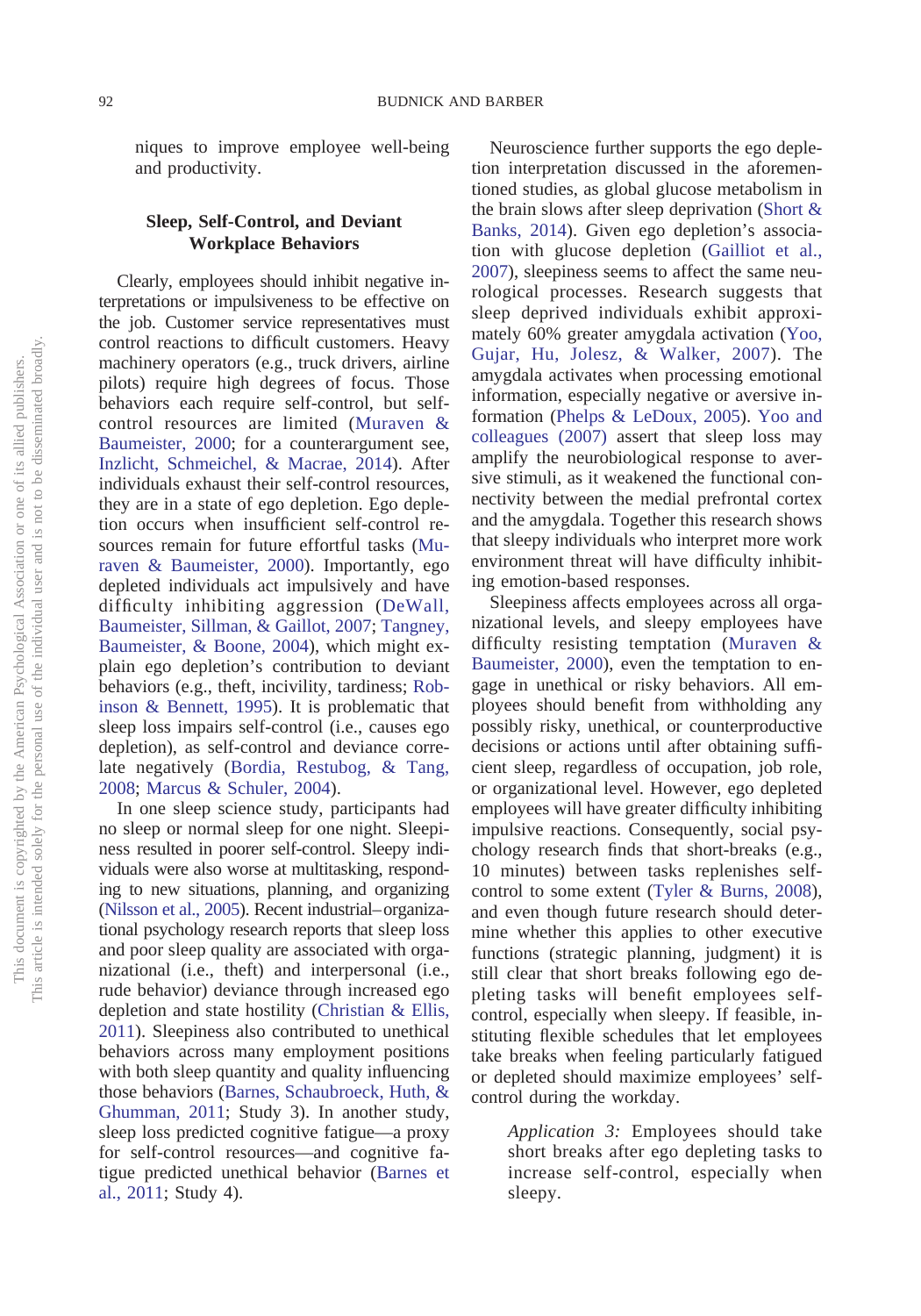niques to improve employee well-being and productivity.

## **Sleep, Self-Control, and Deviant Workplace Behaviors**

Clearly, employees should inhibit negative interpretations or impulsiveness to be effective on the job. Customer service representatives must control reactions to difficult customers. Heavy machinery operators (e.g., truck drivers, airline pilots) require high degrees of focus. Those behaviors each require self-control, but selfcontrol resources are limited [\(Muraven &](#page-6-14) [Baumeister, 2000;](#page-6-14) for a counterargument see, [Inzlicht, Schmeichel, & Macrae, 2014\)](#page-6-15). After individuals exhaust their self-control resources, they are in a state of ego depletion. Ego depletion occurs when insufficient self-control resources remain for future effortful tasks [\(Mu](#page-6-14)[raven & Baumeister, 2000\)](#page-6-14). Importantly, ego depleted individuals act impulsively and have difficulty inhibiting aggression [\(DeWall,](#page-5-10) [Baumeister, Sillman, & Gaillot, 2007;](#page-5-10) [Tangney,](#page-7-8) [Baumeister, & Boone, 2004\)](#page-7-8), which might explain ego depletion's contribution to deviant behaviors (e.g., theft, incivility, tardiness; [Rob](#page-7-9)[inson & Bennett, 1995\)](#page-7-9). It is problematic that sleep loss impairs self-control (i.e., causes ego depletion), as self-control and deviance correlate negatively [\(Bordia, Restubog, & Tang,](#page-5-11) [2008;](#page-5-11) [Marcus & Schuler, 2004\)](#page-6-16).

In one sleep science study, participants had no sleep or normal sleep for one night. Sleepiness resulted in poorer self-control. Sleepy individuals were also worse at multitasking, responding to new situations, planning, and organizing [\(Nilsson et al., 2005\)](#page-6-17). Recent industrial– organizational psychology research reports that sleep loss and poor sleep quality are associated with organizational (i.e., theft) and interpersonal (i.e., rude behavior) deviance through increased ego depletion and state hostility [\(Christian & Ellis,](#page-5-12) [2011\)](#page-5-12). Sleepiness also contributed to unethical behaviors across many employment positions with both sleep quantity and quality influencing those behaviors [\(Barnes, Schaubroeck, Huth, &](#page-5-13) [Ghumman, 2011;](#page-5-13) Study 3). In another study, sleep loss predicted cognitive fatigue—a proxy for self-control resources—and cognitive fatigue predicted unethical behavior [\(Barnes et](#page-5-13) [al., 2011;](#page-5-13) Study 4).

Neuroscience further supports the ego depletion interpretation discussed in the aforementioned studies, as global glucose metabolism in the brain slows after sleep deprivation [\(Short &](#page-7-10) [Banks, 2014\)](#page-7-10). Given ego depletion's association with glucose depletion [\(Gailliot et al.,](#page-6-18) [2007\)](#page-6-18), sleepiness seems to affect the same neurological processes. Research suggests that sleep deprived individuals exhibit approximately 60% greater amygdala activation [\(Yoo,](#page-7-11) [Gujar, Hu, Jolesz, & Walker, 2007\)](#page-7-11). The amygdala activates when processing emotional information, especially negative or aversive information [\(Phelps & LeDoux, 2005\)](#page-6-19). [Yoo and](#page-7-11) [colleagues \(2007\)](#page-7-11) assert that sleep loss may amplify the neurobiological response to aversive stimuli, as it weakened the functional connectivity between the medial prefrontal cortex and the amygdala. Together this research shows that sleepy individuals who interpret more work environment threat will have difficulty inhibiting emotion-based responses.

Sleepiness affects employees across all organizational levels, and sleepy employees have difficulty resisting temptation [\(Muraven &](#page-6-14) [Baumeister, 2000\)](#page-6-14), even the temptation to engage in unethical or risky behaviors. All employees should benefit from withholding any possibly risky, unethical, or counterproductive decisions or actions until after obtaining sufficient sleep, regardless of occupation, job role, or organizational level. However, ego depleted employees will have greater difficulty inhibiting impulsive reactions. Consequently, social psychology research finds that short-breaks (e.g., 10 minutes) between tasks replenishes selfcontrol to some extent [\(Tyler & Burns, 2008\)](#page-7-12), and even though future research should determine whether this applies to other executive functions (strategic planning, judgment) it is still clear that short breaks following ego depleting tasks will benefit employees selfcontrol, especially when sleepy. If feasible, instituting flexible schedules that let employees take breaks when feeling particularly fatigued or depleted should maximize employees' selfcontrol during the workday.

*Application 3:* Employees should take short breaks after ego depleting tasks to increase self-control, especially when sleepy.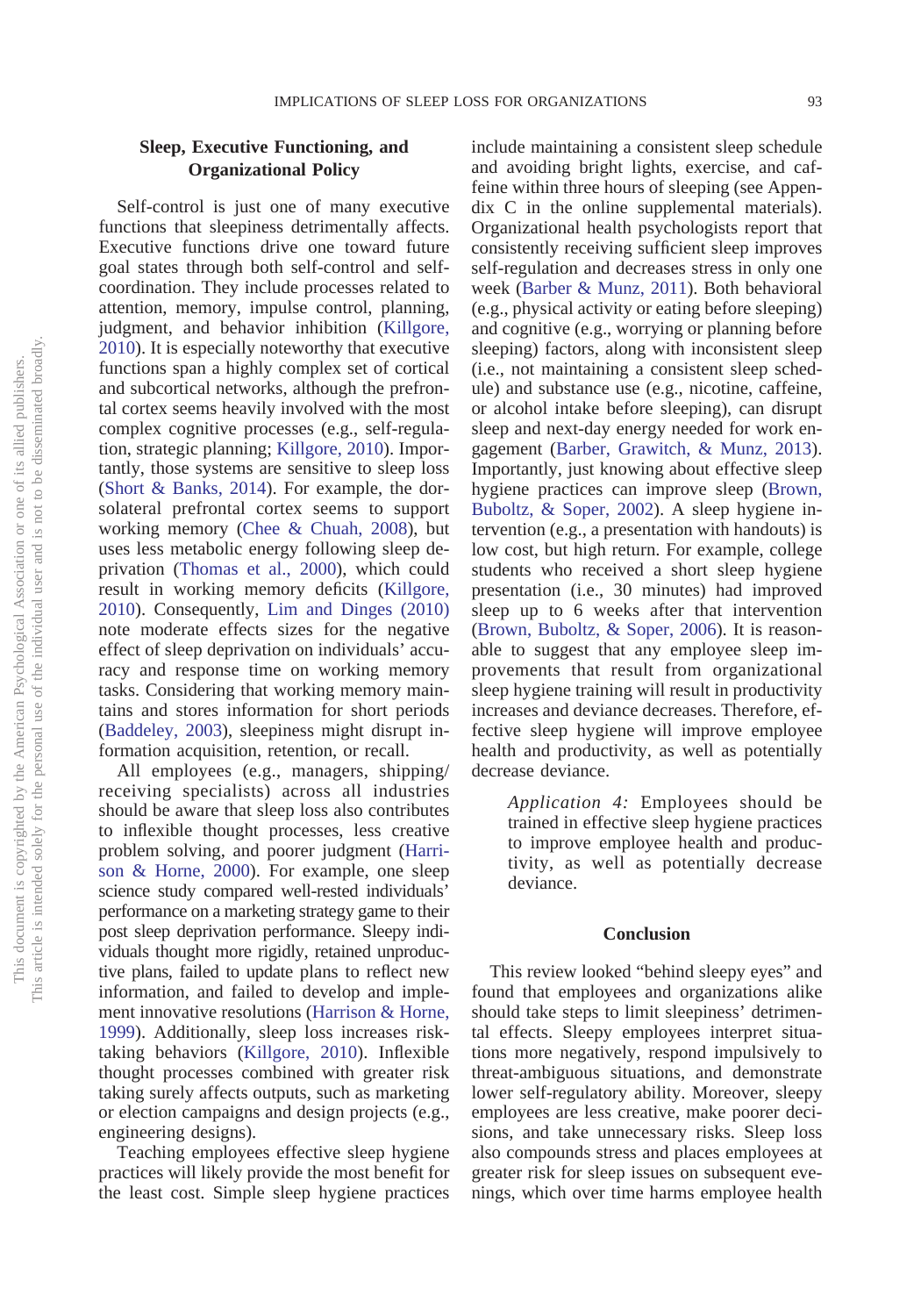## **Sleep, Executive Functioning, and Organizational Policy**

Self-control is just one of many executive functions that sleepiness detrimentally affects. Executive functions drive one toward future goal states through both self-control and selfcoordination. They include processes related to attention, memory, impulse control, planning, judgment, and behavior inhibition [\(Killgore,](#page-6-11) [2010\)](#page-6-11). It is especially noteworthy that executive functions span a highly complex set of cortical and subcortical networks, although the prefrontal cortex seems heavily involved with the most complex cognitive processes (e.g., self-regulation, strategic planning; [Killgore, 2010\)](#page-6-11). Importantly, those systems are sensitive to sleep loss [\(Short & Banks, 2014\)](#page-7-10). For example, the dorsolateral prefrontal cortex seems to support working memory [\(Chee & Chuah, 2008\)](#page-5-14), but uses less metabolic energy following sleep deprivation [\(Thomas et al., 2000\)](#page-7-13), which could result in working memory deficits [\(Killgore,](#page-6-11) [2010\)](#page-6-11). Consequently, [Lim and Dinges \(2010\)](#page-6-13) note moderate effects sizes for the negative effect of sleep deprivation on individuals' accuracy and response time on working memory tasks. Considering that working memory maintains and stores information for short periods [\(Baddeley, 2003\)](#page-5-15), sleepiness might disrupt information acquisition, retention, or recall.

All employees (e.g., managers, shipping/ receiving specialists) across all industries should be aware that sleep loss also contributes to inflexible thought processes, less creative problem solving, and poorer judgment [\(Harri](#page-6-20)[son & Horne, 2000\)](#page-6-20). For example, one sleep science study compared well-rested individuals' performance on a marketing strategy game to their post sleep deprivation performance. Sleepy individuals thought more rigidly, retained unproductive plans, failed to update plans to reflect new information, and failed to develop and implement innovative resolutions [\(Harrison & Horne,](#page-6-21) [1999\)](#page-6-21). Additionally, sleep loss increases risktaking behaviors [\(Killgore, 2010\)](#page-6-11). Inflexible thought processes combined with greater risk taking surely affects outputs, such as marketing or election campaigns and design projects (e.g., engineering designs).

Teaching employees effective sleep hygiene practices will likely provide the most benefit for the least cost. Simple sleep hygiene practices include maintaining a consistent sleep schedule and avoiding bright lights, exercise, and caffeine within three hours of sleeping (see Appendix C in the online supplemental materials). Organizational health psychologists report that consistently receiving sufficient sleep improves self-regulation and decreases stress in only one week [\(Barber & Munz, 2011\)](#page-5-16). Both behavioral (e.g., physical activity or eating before sleeping) and cognitive (e.g., worrying or planning before sleeping) factors, along with inconsistent sleep (i.e., not maintaining a consistent sleep schedule) and substance use (e.g., nicotine, caffeine, or alcohol intake before sleeping), can disrupt sleep and next-day energy needed for work engagement [\(Barber, Grawitch, & Munz, 2013\)](#page-5-17). Importantly, just knowing about effective sleep hygiene practices can improve sleep [\(Brown,](#page-5-18) [Buboltz, & Soper, 2002\)](#page-5-18). A sleep hygiene intervention (e.g., a presentation with handouts) is low cost, but high return. For example, college students who received a short sleep hygiene presentation (i.e., 30 minutes) had improved sleep up to 6 weeks after that intervention [\(Brown, Buboltz, & Soper, 2006\)](#page-5-19). It is reasonable to suggest that any employee sleep improvements that result from organizational sleep hygiene training will result in productivity increases and deviance decreases. Therefore, effective sleep hygiene will improve employee health and productivity, as well as potentially decrease deviance.

> *Application 4:* Employees should be trained in effective sleep hygiene practices to improve employee health and productivity, as well as potentially decrease deviance.

#### **Conclusion**

This review looked "behind sleepy eyes" and found that employees and organizations alike should take steps to limit sleepiness' detrimental effects. Sleepy employees interpret situations more negatively, respond impulsively to threat-ambiguous situations, and demonstrate lower self-regulatory ability. Moreover, sleepy employees are less creative, make poorer decisions, and take unnecessary risks. Sleep loss also compounds stress and places employees at greater risk for sleep issues on subsequent evenings, which over time harms employee health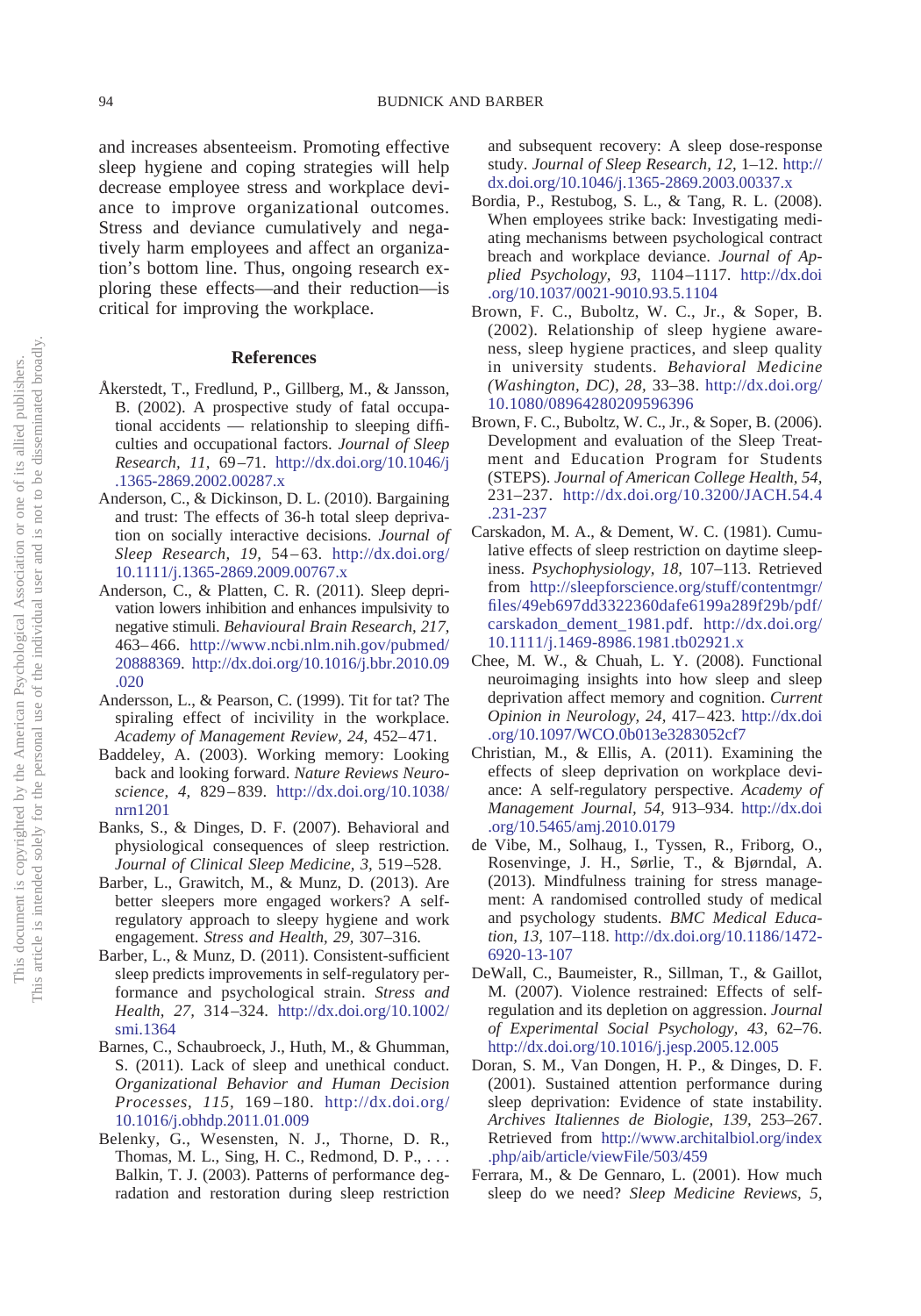and increases absenteeism. Promoting effective sleep hygiene and coping strategies will help decrease employee stress and workplace deviance to improve organizational outcomes. Stress and deviance cumulatively and negatively harm employees and affect an organization's bottom line. Thus, ongoing research exploring these effects—and their reduction—is critical for improving the workplace.

#### **References**

- <span id="page-5-2"></span>Åkerstedt, T., Fredlund, P., Gillberg, M., & Jansson, B. (2002). A prospective study of fatal occupational accidents — relationship to sleeping difficulties and occupational factors. *Journal of Sleep Research, 11,* 69 –71. [http://dx.doi.org/10.1046/j](http://dx.doi.org/10.1046/j.1365-2869.2002.00287.x) [.1365-2869.2002.00287.x](http://dx.doi.org/10.1046/j.1365-2869.2002.00287.x)
- <span id="page-5-6"></span>Anderson, C., & Dickinson, D. L. (2010). Bargaining and trust: The effects of 36-h total sleep deprivation on socially interactive decisions. *Journal of Sleep Research, 19,* 54 – 63. [http://dx.doi.org/](http://dx.doi.org/10.1111/j.1365-2869.2009.00767.x) [10.1111/j.1365-2869.2009.00767.x](http://dx.doi.org/10.1111/j.1365-2869.2009.00767.x)
- <span id="page-5-7"></span>Anderson, C., & Platten, C. R. (2011). Sleep deprivation lowers inhibition and enhances impulsivity to negative stimuli. *Behavioural Brain Research, 217,* 463– 466. [http://www.ncbi.nlm.nih.gov/pubmed/](http://www.ncbi.nlm.nih.gov/pubmed/20888369) [20888369.](http://www.ncbi.nlm.nih.gov/pubmed/20888369) [http://dx.doi.org/10.1016/j.bbr.2010.09](http://dx.doi.org/10.1016/j.bbr.2010.09.020) [.020](http://dx.doi.org/10.1016/j.bbr.2010.09.020)
- <span id="page-5-8"></span>Andersson, L., & Pearson, C. (1999). Tit for tat? The spiraling effect of incivility in the workplace. *Academy of Management Review, 24,* 452– 471.
- <span id="page-5-15"></span>Baddeley, A. (2003). Working memory: Looking back and looking forward. *Nature Reviews Neuroscience, 4,* 829 – 839. [http://dx.doi.org/10.1038/](http://dx.doi.org/10.1038/nrn1201) [nrn1201](http://dx.doi.org/10.1038/nrn1201)
- <span id="page-5-0"></span>Banks, S., & Dinges, D. F. (2007). Behavioral and physiological consequences of sleep restriction. *Journal of Clinical Sleep Medicine, 3,* 519 –528.
- <span id="page-5-17"></span>Barber, L., Grawitch, M., & Munz, D. (2013). Are better sleepers more engaged workers? A selfregulatory approach to sleepy hygiene and work engagement. *Stress and Health, 29,* 307–316.
- <span id="page-5-16"></span>Barber, L., & Munz, D. (2011). Consistent-sufficient sleep predicts improvements in self-regulatory performance and psychological strain. *Stress and Health, 27,* 314 –324. [http://dx.doi.org/10.1002/](http://dx.doi.org/10.1002/smi.1364) [smi.1364](http://dx.doi.org/10.1002/smi.1364)
- <span id="page-5-13"></span>Barnes, C., Schaubroeck, J., Huth, M., & Ghumman, S. (2011). Lack of sleep and unethical conduct. *Organizational Behavior and Human Decision Processes, 115,* 169 –180. [http://dx.doi.org/](http://dx.doi.org/10.1016/j.obhdp.2011.01.009) [10.1016/j.obhdp.2011.01.009](http://dx.doi.org/10.1016/j.obhdp.2011.01.009)
- <span id="page-5-4"></span>Belenky, G., Wesensten, N. J., Thorne, D. R., Thomas, M. L., Sing, H. C., Redmond, D. P.,... Balkin, T. J. (2003). Patterns of performance degradation and restoration during sleep restriction

and subsequent recovery: A sleep dose-response study. *Journal of Sleep Research, 12,* 1–12. [http://](http://dx.doi.org/10.1046/j.1365-2869.2003.00337.x) [dx.doi.org/10.1046/j.1365-2869.2003.00337.x](http://dx.doi.org/10.1046/j.1365-2869.2003.00337.x)

- <span id="page-5-11"></span>Bordia, P., Restubog, S. L., & Tang, R. L. (2008). When employees strike back: Investigating mediating mechanisms between psychological contract breach and workplace deviance. *Journal of Applied Psychology, 93,* 1104 –1117. [http://dx.doi](http://dx.doi.org/10.1037/0021-9010.93.5.1104) [.org/10.1037/0021-9010.93.5.1104](http://dx.doi.org/10.1037/0021-9010.93.5.1104)
- <span id="page-5-18"></span>Brown, F. C., Buboltz, W. C., Jr., & Soper, B. (2002). Relationship of sleep hygiene awareness, sleep hygiene practices, and sleep quality in university students. *Behavioral Medicine (Washington, DC), 28,* 33–38. [http://dx.doi.org/](http://dx.doi.org/10.1080/08964280209596396) [10.1080/08964280209596396](http://dx.doi.org/10.1080/08964280209596396)
- <span id="page-5-19"></span>Brown, F. C., Buboltz, W. C., Jr., & Soper, B. (2006). Development and evaluation of the Sleep Treatment and Education Program for Students (STEPS). *Journal of American College Health, 54,* 231–237. [http://dx.doi.org/10.3200/JACH.54.4](http://dx.doi.org/10.3200/JACH.54.4.231-237) [.231-237](http://dx.doi.org/10.3200/JACH.54.4.231-237)
- <span id="page-5-5"></span>Carskadon, M. A., & Dement, W. C. (1981). Cumulative effects of sleep restriction on daytime sleepiness. *Psychophysiology, 18,* 107–113. Retrieved from [http://sleepforscience.org/stuff/contentmgr/](http://sleepforscience.org/stuff/contentmgr/files/49eb697dd3322360dafe6199a289f29b/pdf/carskadon_dement_1981.pdf) [files/49eb697dd3322360dafe6199a289f29b/pdf/](http://sleepforscience.org/stuff/contentmgr/files/49eb697dd3322360dafe6199a289f29b/pdf/carskadon_dement_1981.pdf) [carskadon\\_dement\\_1981.pdf.](http://sleepforscience.org/stuff/contentmgr/files/49eb697dd3322360dafe6199a289f29b/pdf/carskadon_dement_1981.pdf) [http://dx.doi.org/](http://dx.doi.org/10.1111/j.1469-8986.1981.tb02921.x) [10.1111/j.1469-8986.1981.tb02921.x](http://dx.doi.org/10.1111/j.1469-8986.1981.tb02921.x)
- <span id="page-5-14"></span>Chee, M. W., & Chuah, L. Y. (2008). Functional neuroimaging insights into how sleep and sleep deprivation affect memory and cognition. *Current Opinion in Neurology, 24,* 417– 423. [http://dx.doi](http://dx.doi.org/10.1097/WCO.0b013e3283052cf7) [.org/10.1097/WCO.0b013e3283052cf7](http://dx.doi.org/10.1097/WCO.0b013e3283052cf7)
- <span id="page-5-12"></span>Christian, M., & Ellis, A. (2011). Examining the effects of sleep deprivation on workplace deviance: A self-regulatory perspective. *Academy of Management Journal, 54,* 913–934. [http://dx.doi](http://dx.doi.org/10.5465/amj.2010.0179) [.org/10.5465/amj.2010.0179](http://dx.doi.org/10.5465/amj.2010.0179)
- <span id="page-5-9"></span>de Vibe, M., Solhaug, I., Tyssen, R., Friborg, O., Rosenvinge, J. H., Sørlie, T., & Bjørndal, A. (2013). Mindfulness training for stress management: A randomised controlled study of medical and psychology students. *BMC Medical Education, 13,* 107–118. [http://dx.doi.org/10.1186/1472-](http://dx.doi.org/10.1186/1472-6920-13-107) [6920-13-107](http://dx.doi.org/10.1186/1472-6920-13-107)
- <span id="page-5-10"></span>DeWall, C., Baumeister, R., Sillman, T., & Gaillot, M. (2007). Violence restrained: Effects of selfregulation and its depletion on aggression. *Journal of Experimental Social Psychology, 43,* 62–76. <http://dx.doi.org/10.1016/j.jesp.2005.12.005>
- <span id="page-5-1"></span>Doran, S. M., Van Dongen, H. P., & Dinges, D. F. (2001). Sustained attention performance during sleep deprivation: Evidence of state instability. *Archives Italiennes de Biologie, 139,* 253–267. Retrieved from [http://www.architalbiol.org/index](http://www.architalbiol.org/index.php/aib/article/viewFile/503/459) [.php/aib/article/viewFile/503/459](http://www.architalbiol.org/index.php/aib/article/viewFile/503/459)
- <span id="page-5-3"></span>Ferrara, M., & De Gennaro, L. (2001). How much sleep do we need? *Sleep Medicine Reviews, 5,*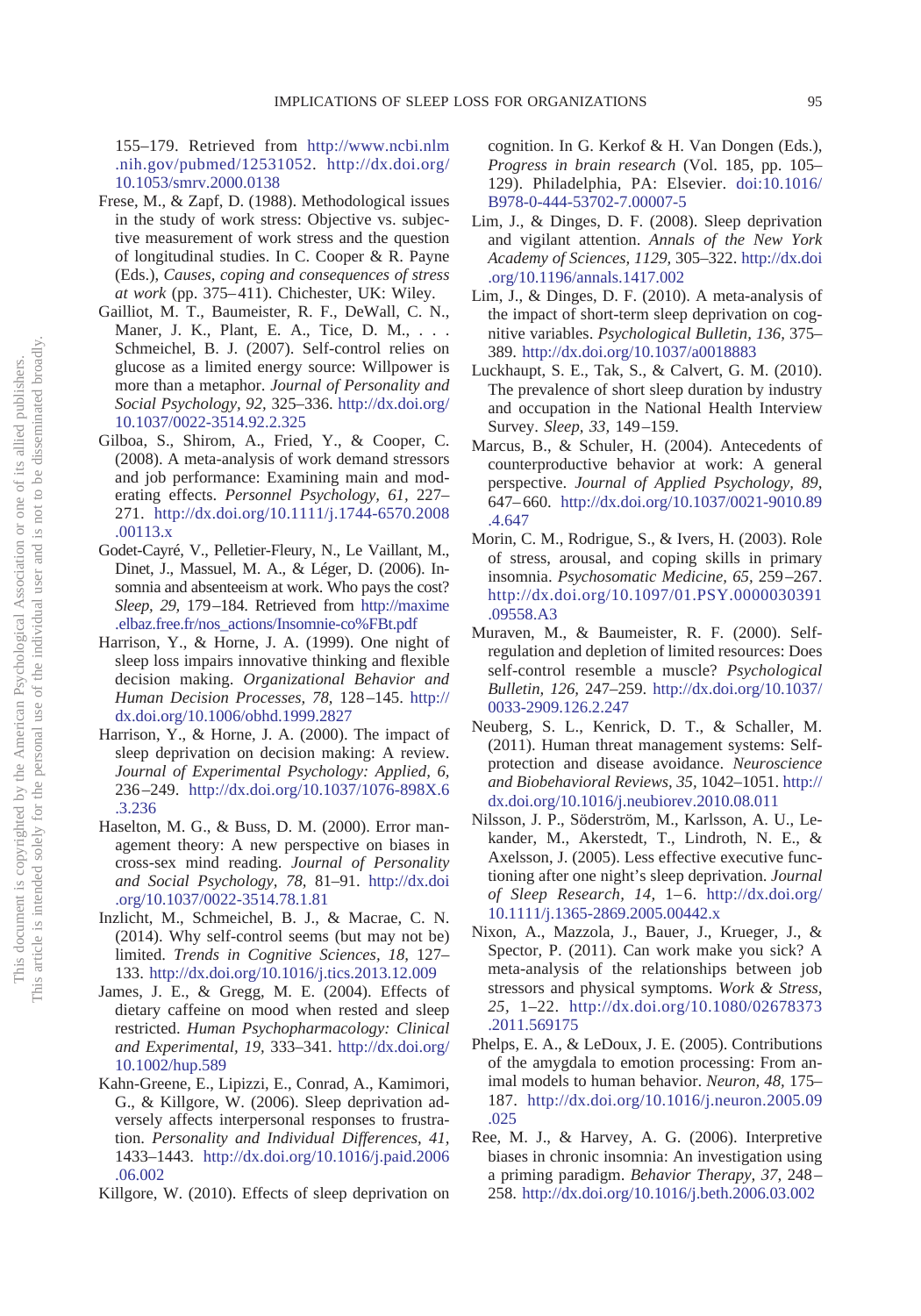155–179. Retrieved from [http://www.ncbi.nlm](http://www.ncbi.nlm.nih.gov/pubmed/12531052) [.nih.gov/pubmed/12531052.](http://www.ncbi.nlm.nih.gov/pubmed/12531052) [http://dx.doi.org/](http://dx.doi.org/10.1053/smrv.2000.0138) [10.1053/smrv.2000.0138](http://dx.doi.org/10.1053/smrv.2000.0138)

- <span id="page-6-8"></span>Frese, M., & Zapf, D. (1988). Methodological issues in the study of work stress: Objective vs. subjective measurement of work stress and the question of longitudinal studies. In C. Cooper & R. Payne (Eds.), *Causes, coping and consequences of stress at work* (pp. 375– 411). Chichester, UK: Wiley.
- <span id="page-6-18"></span>Gailliot, M. T., Baumeister, R. F., DeWall, C. N., Maner, J. K., Plant, E. A., Tice, D. M., . . . Schmeichel, B. J. (2007). Self-control relies on glucose as a limited energy source: Willpower is more than a metaphor. *Journal of Personality and Social Psychology, 92,* 325–336. [http://dx.doi.org/](http://dx.doi.org/10.1037/0022-3514.92.2.325) [10.1037/0022-3514.92.2.325](http://dx.doi.org/10.1037/0022-3514.92.2.325)
- <span id="page-6-10"></span>Gilboa, S., Shirom, A., Fried, Y., & Cooper, C. (2008). A meta-analysis of work demand stressors and job performance: Examining main and moderating effects. *Personnel Psychology, 61,* 227– 271. [http://dx.doi.org/10.1111/j.1744-6570.2008](http://dx.doi.org/10.1111/j.1744-6570.2008.00113.x) [.00113.x](http://dx.doi.org/10.1111/j.1744-6570.2008.00113.x)
- <span id="page-6-1"></span>Godet-Cayré, V., Pelletier-Fleury, N., Le Vaillant, M., Dinet, J., Massuel, M. A., & Léger, D. (2006). Insomnia and absenteeism at work. Who pays the cost? *Sleep, 29,* 179 –184. Retrieved from [http://maxime](http://maxime.elbaz.free.fr/nos_actions/Insomnie-co%FBt.pdf) [.elbaz.free.fr/nos\\_actions/Insomnie-co%FBt.pdf](http://maxime.elbaz.free.fr/nos_actions/Insomnie-co%FBt.pdf)
- <span id="page-6-21"></span>Harrison, Y., & Horne, J. A. (1999). One night of sleep loss impairs innovative thinking and flexible decision making. *Organizational Behavior and Human Decision Processes, 78,* 128 –145. [http://](http://dx.doi.org/10.1006/obhd.1999.2827) [dx.doi.org/10.1006/obhd.1999.2827](http://dx.doi.org/10.1006/obhd.1999.2827)
- <span id="page-6-20"></span>Harrison, Y., & Horne, J. A. (2000). The impact of sleep deprivation on decision making: A review. *Journal of Experimental Psychology: Applied, 6,* 236 –249. [http://dx.doi.org/10.1037/1076-898X.6](http://dx.doi.org/10.1037/1076-898X.6.3.236) [.3.236](http://dx.doi.org/10.1037/1076-898X.6.3.236)
- <span id="page-6-2"></span>Haselton, M. G., & Buss, D. M. (2000). Error management theory: A new perspective on biases in cross-sex mind reading. *Journal of Personality and Social Psychology, 78,* 81–91. [http://dx.doi](http://dx.doi.org/10.1037/0022-3514.78.1.81) [.org/10.1037/0022-3514.78.1.81](http://dx.doi.org/10.1037/0022-3514.78.1.81)
- <span id="page-6-15"></span>Inzlicht, M., Schmeichel, B. J., & Macrae, C. N. (2014). Why self-control seems (but may not be) limited. *Trends in Cognitive Sciences, 18,* 127– 133. <http://dx.doi.org/10.1016/j.tics.2013.12.009>
- <span id="page-6-6"></span>James, J. E., & Gregg, M. E. (2004). Effects of dietary caffeine on mood when rested and sleep restricted. *Human Psychopharmacology: Clinical and Experimental, 19,* 333–341. [http://dx.doi.org/](http://dx.doi.org/10.1002/hup.589) [10.1002/hup.589](http://dx.doi.org/10.1002/hup.589)
- <span id="page-6-5"></span>Kahn-Greene, E., Lipizzi, E., Conrad, A., Kamimori, G., & Killgore, W. (2006). Sleep deprivation adversely affects interpersonal responses to frustration. *Personality and Individual Differences, 41,* 1433–1443. [http://dx.doi.org/10.1016/j.paid.2006](http://dx.doi.org/10.1016/j.paid.2006.06.002) [.06.002](http://dx.doi.org/10.1016/j.paid.2006.06.002)
- <span id="page-6-11"></span>Killgore, W. (2010). Effects of sleep deprivation on

cognition. In G. Kerkof & H. Van Dongen (Eds.), *Progress in brain research* (Vol. 185, pp. 105– 129). Philadelphia, PA: Elsevier. [doi:10.1016/](http://dx.doi.org/10.1016/B978-0-444-53702-7.00007-5) [B978-0-444-53702-7.00007-5](http://dx.doi.org/10.1016/B978-0-444-53702-7.00007-5)

- <span id="page-6-12"></span>Lim, J., & Dinges, D. F. (2008). Sleep deprivation and vigilant attention. *Annals of the New York Academy of Sciences, 1129,* 305–322. [http://dx.doi](http://dx.doi.org/10.1196/annals.1417.002) [.org/10.1196/annals.1417.002](http://dx.doi.org/10.1196/annals.1417.002)
- <span id="page-6-13"></span>Lim, J., & Dinges, D. F. (2010). A meta-analysis of the impact of short-term sleep deprivation on cognitive variables. *Psychological Bulletin, 136,* 375– 389. <http://dx.doi.org/10.1037/a0018883>
- <span id="page-6-0"></span>Luckhaupt, S. E., Tak, S., & Calvert, G. M. (2010). The prevalence of short sleep duration by industry and occupation in the National Health Interview Survey. *Sleep, 33,* 149 –159.
- <span id="page-6-16"></span>Marcus, B., & Schuler, H. (2004). Antecedents of counterproductive behavior at work: A general perspective. *Journal of Applied Psychology, 89,* 647– 660. [http://dx.doi.org/10.1037/0021-9010.89](http://dx.doi.org/10.1037/0021-9010.89.4.647) [.4.647](http://dx.doi.org/10.1037/0021-9010.89.4.647)
- <span id="page-6-9"></span>Morin, C. M., Rodrigue, S., & Ivers, H. (2003). Role of stress, arousal, and coping skills in primary insomnia. *Psychosomatic Medicine, 65,* 259 –267. [http://dx.doi.org/10.1097/01.PSY.0000030391](http://dx.doi.org/10.1097/01.PSY.0000030391.09558.A3) [.09558.A3](http://dx.doi.org/10.1097/01.PSY.0000030391.09558.A3)
- <span id="page-6-14"></span>Muraven, M., & Baumeister, R. F. (2000). Selfregulation and depletion of limited resources: Does self-control resemble a muscle? *Psychological Bulletin, 126,* 247–259. [http://dx.doi.org/10.1037/](http://dx.doi.org/10.1037/0033-2909.126.2.247) [0033-2909.126.2.247](http://dx.doi.org/10.1037/0033-2909.126.2.247)
- <span id="page-6-4"></span>Neuberg, S. L., Kenrick, D. T., & Schaller, M. (2011). Human threat management systems: Selfprotection and disease avoidance. *Neuroscience and Biobehavioral Reviews, 35,* 1042–1051. [http://](http://dx.doi.org/10.1016/j.neubiorev.2010.08.011) [dx.doi.org/10.1016/j.neubiorev.2010.08.011](http://dx.doi.org/10.1016/j.neubiorev.2010.08.011)
- <span id="page-6-17"></span>Nilsson, J. P., Söderström, M., Karlsson, A. U., Lekander, M., Akerstedt, T., Lindroth, N. E., & Axelsson, J. (2005). Less effective executive functioning after one night's sleep deprivation. *Journal* of Sleep Research, 14, 1–6. [http://dx.doi.org/](http://dx.doi.org/10.1111/j.1365-2869.2005.00442.x) [10.1111/j.1365-2869.2005.00442.x](http://dx.doi.org/10.1111/j.1365-2869.2005.00442.x)
- <span id="page-6-7"></span>Nixon, A., Mazzola, J., Bauer, J., Krueger, J., & Spector, P. (2011). Can work make you sick? A meta-analysis of the relationships between job stressors and physical symptoms. *Work & Stress, 25,* 1–22. [http://dx.doi.org/10.1080/02678373](http://dx.doi.org/10.1080/02678373.2011.569175) [.2011.569175](http://dx.doi.org/10.1080/02678373.2011.569175)
- <span id="page-6-19"></span>Phelps, E. A., & LeDoux, J. E. (2005). Contributions of the amygdala to emotion processing: From animal models to human behavior. *Neuron, 48,* 175– 187. [http://dx.doi.org/10.1016/j.neuron.2005.09](http://dx.doi.org/10.1016/j.neuron.2005.09.025) [.025](http://dx.doi.org/10.1016/j.neuron.2005.09.025)
- <span id="page-6-3"></span>Ree, M. J., & Harvey, A. G. (2006). Interpretive biases in chronic insomnia: An investigation using a priming paradigm. *Behavior Therapy, 37,* 248 – 258. <http://dx.doi.org/10.1016/j.beth.2006.03.002>